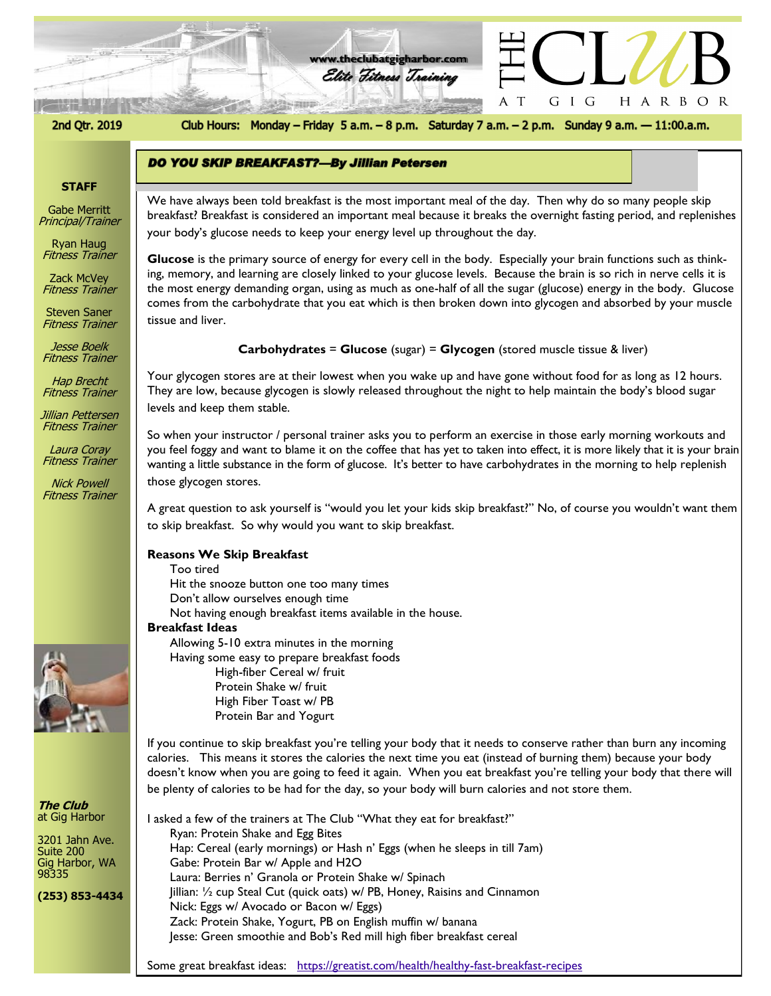



Club Hours: Monday - Friday 5 a.m. - 8 p.m. Saturday 7 a.m. - 2 p.m. Sunday 9 a.m. - 11:00.a.m.

G I G

 $\top$ 

HARBOR

## **STAFF**

Gabe Merritt Principal/Trainer

Ryan Haug Fitness Trainer

Zack McVey Fitness Trainer

Steven Saner Fitness Trainer

Jesse Boelk Fitness Trainer

Hap Brecht Fitness Trainer

Jillian Pettersen Fitness Trainer

Laura Coray Fitness Trainer

Nick Powell Fitness Trainer



**The Club** at Gig Harbor

3201 Jahn Ave. Suite 200 Gig Harbor, WA 98335

**(253) 853-4434**

*The Club at Gig Harbor* your body's glucose needs to keep your energy level up throughout the day. We have always been told breakfast is the most important meal of the day. Then why do so many people skip breakfast? Breakfast is considered an important meal because it breaks the overnight fasting period, and replenishes

**Glucose** is the primary source of energy for every cell in the body. Especially your brain functions such as thinking, memory, and learning are closely linked to your glucose levels. Because the brain is so rich in nerve cells it is the most energy demanding organ, using as much as one-half of all the sugar (glucose) energy in the body. Glucose comes from the carbohydrate that you eat which is then broken down into glycogen and absorbed by your muscle tissue and liver.

## **Carbohydrates** = **Glucose** (sugar) = **Glycogen** (stored muscle tissue & liver)

Your glycogen stores are at their lowest when you wake up and have gone without food for as long as 12 hours. They are low, because glycogen is slowly released throughout the night to help maintain the body's blood sugar levels and keep them stable.

So when your instructor / personal trainer asks you to perform an exercise in those early morning workouts and you feel foggy and want to blame it on the coffee that has yet to taken into effect, it is more likely that it is your brain wanting a little substance in the form of glucose. It's better to have carbohydrates in the morning to help replenish those glycogen stores.

A great question to ask yourself is "would you let your kids skip breakfast?" No, of course you wouldn't want them to skip breakfast. So why would you want to skip breakfast.

## **Reasons We Skip Breakfast**

- Too tired
- Hit the snooze button one too many times

**DO YOU SKIP BREAKFAST?-By Jillian Petersen** 

- Don't allow ourselves enough time
- Not having enough breakfast items available in the house.

## **Breakfast Ideas**

Allowing 5-10 extra minutes in the morning Having some easy to prepare breakfast foods High-fiber Cereal w/ fruit

> Protein Shake w/ fruit High Fiber Toast w/ PB Protein Bar and Yogurt

If you continue to skip breakfast you're telling your body that it needs to conserve rather than burn any incoming calories. This means it stores the calories the next time you eat (instead of burning them) because your body doesn't know when you are going to feed it again. When you eat breakfast you're telling your body that there will be plenty of calories to be had for the day, so your body will burn calories and not store them.

I asked a few of the trainers at The Club "What they eat for breakfast?" Ryan: Protein Shake and Egg Bites Hap: Cereal (early mornings) or Hash n' Eggs (when he sleeps in till 7am) Gabe: Protein Bar w/ Apple and H2O Laura: Berries n' Granola or Protein Shake w/ Spinach Jillian: ½ cup Steal Cut (quick oats) w/ PB, Honey, Raisins and Cinnamon Nick: Eggs w/ Avocado or Bacon w/ Eggs) Zack: Protein Shake, Yogurt, PB on English muffin w/ banana Jesse: Green smoothie and Bob's Red mill high fiber breakfast cereal

Some great breakfast ideas: <https://greatist.com/health/healthy-fast-breakfast-recipes>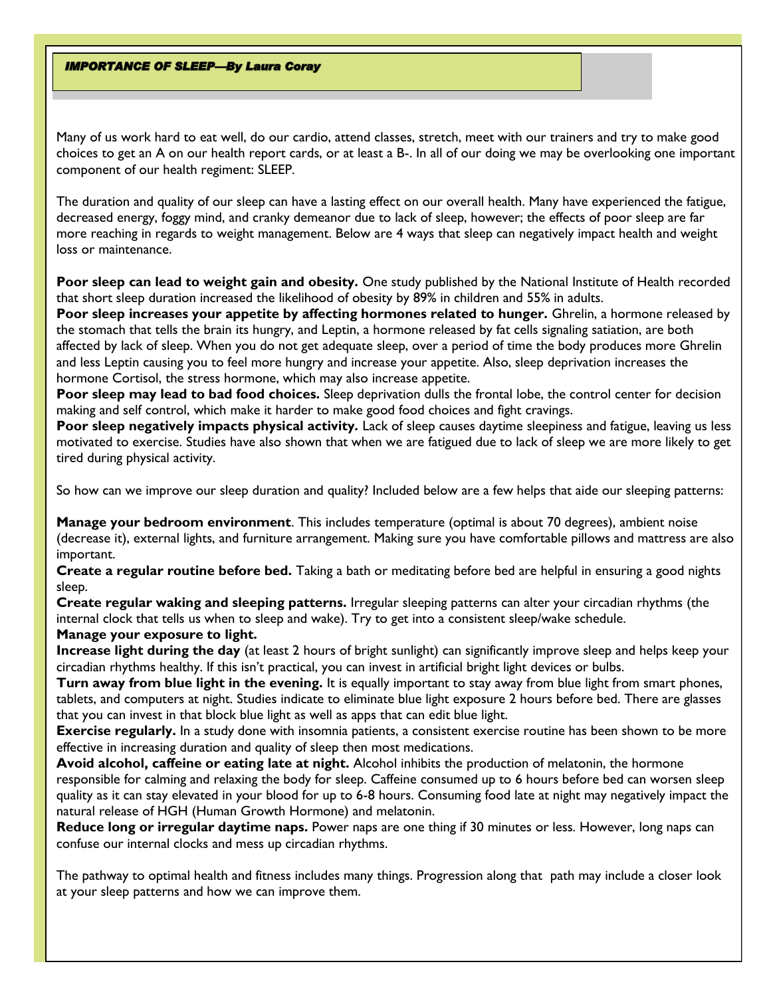## **IMPORTANCE OF SLEEP-By Laura Coray**

Many of us work hard to eat well, do our cardio, attend classes, stretch, meet with our trainers and try to make good choices to get an A on our health report cards, or at least a B-. In all of our doing we may be overlooking one important component of our health regiment: SLEEP.

The duration and quality of our sleep can have a lasting effect on our overall health. Many have experienced the fatigue, decreased energy, foggy mind, and cranky demeanor due to lack of sleep, however; the effects of poor sleep are far more reaching in regards to weight management. Below are 4 ways that sleep can negatively impact health and weight loss or maintenance.

**Poor sleep can lead to weight gain and obesity.** One study published by the National Institute of Health recorded that short sleep duration increased the likelihood of obesity by 89% in children and 55% in adults.

**Poor sleep increases your appetite by affecting hormones related to hunger.** Ghrelin, a hormone released by the stomach that tells the brain its hungry, and Leptin, a hormone released by fat cells signaling satiation, are both affected by lack of sleep. When you do not get adequate sleep, over a period of time the body produces more Ghrelin and less Leptin causing you to feel more hungry and increase your appetite. Also, sleep deprivation increases the hormone Cortisol, the stress hormone, which may also increase appetite.

**Poor sleep may lead to bad food choices.** Sleep deprivation dulls the frontal lobe, the control center for decision making and self control, which make it harder to make good food choices and fight cravings.

**Poor sleep negatively impacts physical activity.** Lack of sleep causes daytime sleepiness and fatigue, leaving us less motivated to exercise. Studies have also shown that when we are fatigued due to lack of sleep we are more likely to get tired during physical activity.

So how can we improve our sleep duration and quality? Included below are a few helps that aide our sleeping patterns:

**Manage your bedroom environment**. This includes temperature (optimal is about 70 degrees), ambient noise (decrease it), external lights, and furniture arrangement. Making sure you have comfortable pillows and mattress are also important.

**Create a regular routine before bed.** Taking a bath or meditating before bed are helpful in ensuring a good nights sleep.

**Create regular waking and sleeping patterns.** Irregular sleeping patterns can alter your circadian rhythms (the internal clock that tells us when to sleep and wake). Try to get into a consistent sleep/wake schedule.

# **Manage your exposure to light.**

**Increase light during the day** (at least 2 hours of bright sunlight) can significantly improve sleep and helps keep your circadian rhythms healthy. If this isn't practical, you can invest in artificial bright light devices or bulbs.

**Turn away from blue light in the evening.** It is equally important to stay away from blue light from smart phones, tablets, and computers at night. Studies indicate to eliminate blue light exposure 2 hours before bed. There are glasses that you can invest in that block blue light as well as apps that can edit blue light.

**Exercise regularly.** In a study done with insomnia patients, a consistent exercise routine has been shown to be more effective in increasing duration and quality of sleep then most medications.

**Avoid alcohol, caffeine or eating late at night.** Alcohol inhibits the production of melatonin, the hormone responsible for calming and relaxing the body for sleep. Caffeine consumed up to 6 hours before bed can worsen sleep quality as it can stay elevated in your blood for up to 6-8 hours. Consuming food late at night may negatively impact the natural release of HGH (Human Growth Hormone) and melatonin.

**Reduce long or irregular daytime naps.** Power naps are one thing if 30 minutes or less. However, long naps can confuse our internal clocks and mess up circadian rhythms.

The pathway to optimal health and fitness includes many things. Progression along that path may include a closer look at your sleep patterns and how we can improve them.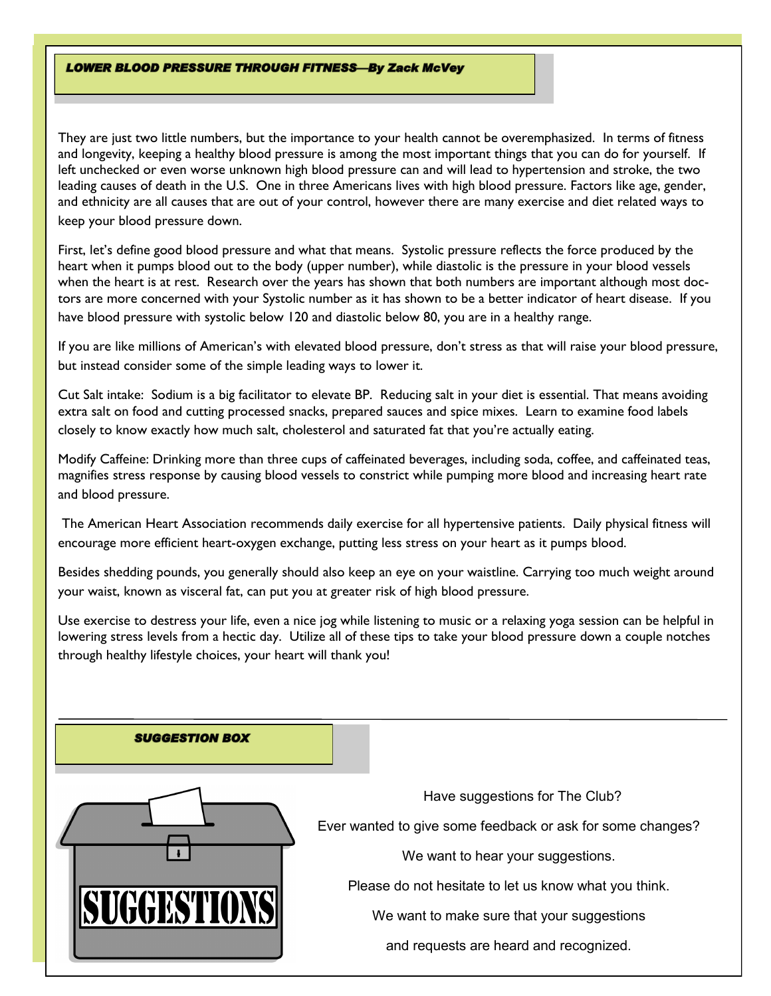## **LOWER BLOOD PRESSURE THROUGH FITNESS-By Zack McVey**

They are just two little numbers, but the importance to your health cannot be overemphasized. In terms of fitness and longevity, keeping a healthy blood pressure is among the most important things that you can do for yourself. If left unchecked or even worse unknown high blood pressure can and will lead to hypertension and stroke, the two leading causes of death in the U.S. One in three Americans lives with high blood pressure. Factors like age, gender, and ethnicity are all causes that are out of your control, however there are many exercise and diet related ways to keep your blood pressure down.

First, let's define good blood pressure and what that means. Systolic pressure reflects the force produced by the heart when it pumps blood out to the body (upper number), while diastolic is the pressure in your blood vessels when the heart is at rest. Research over the years has shown that both numbers are important although most doctors are more concerned with your Systolic number as it has shown to be a better indicator of heart disease. If you have blood pressure with systolic below 120 and diastolic below 80, you are in a healthy range.

If you are like millions of American's with elevated blood pressure, don't stress as that will raise your blood pressure, but instead consider some of the simple leading ways to lower it.

Cut Salt intake: Sodium is a big facilitator to elevate BP. Reducing salt in your diet is essential. That means avoiding extra salt on food and cutting processed snacks, prepared sauces and spice mixes. Learn to examine food labels closely to know exactly how much salt, cholesterol and saturated fat that you're actually eating.

Modify Caffeine: Drinking more than three cups of caffeinated beverages, including soda, coffee, and caffeinated teas, magnifies stress response by causing blood vessels to constrict while pumping more blood and increasing heart rate and blood pressure.

The American Heart Association recommends daily exercise for all hypertensive patients. Daily physical fitness will encourage more efficient heart-oxygen exchange, putting less stress on your heart as it pumps blood.

Besides shedding pounds, you generally should also keep an eye on your waistline. Carrying too much weight around your waist, known as visceral fat, can put you at greater risk of high blood pressure.

Use exercise to destress your life, even a nice jog while listening to music or a relaxing yoga session can be helpful in lowering stress levels from a hectic day. Utilize all of these tips to take your blood pressure down a couple notches through healthy lifestyle choices, your heart will thank you!

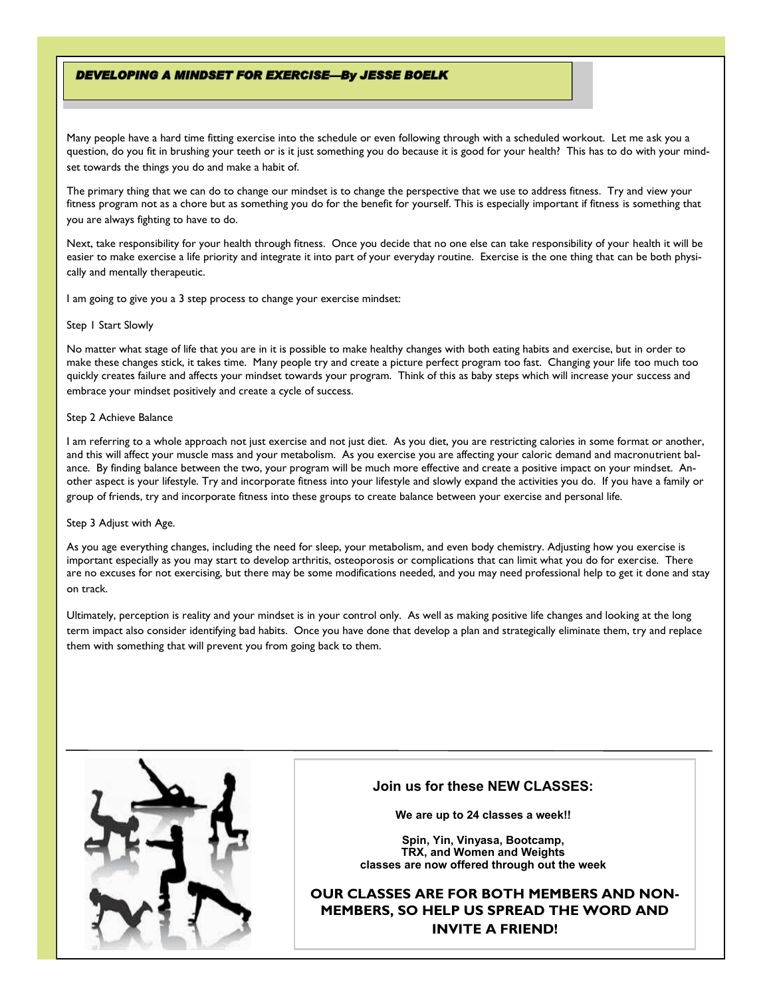### **DEVELOPING A MINDSET FOR EXERCISE-By JESSE BOELK**

Many people have a hard time fitting exercise into the schedule or even following through with a scheduled workout. Let me ask you a question, do you fit in brushing your teeth or is it just something you do because it is good for your health? This has to do with your mindset towards the things you do and make a habit of.

The primary thing that we can do to change our mindset is to change the perspective that we use to address fitness. Try and view your fitness program not as a chore but as something you do for the benefit for yourself. This is especially important if fitness is something that you are always fighting to have to do.

Next, take responsibility for your health through fitness. Once you decide that no one else can take responsibility of your health it will be easier to make exercise a life priority and integrate it into part of your everyday routine. Exercise is the one thing that can be both physically and mentally therapeutic.

I am going to give you a 3 step process to change your exercise mindset:

#### Step 1 Start Slowly

No matter what stage of life that you are in it is possible to make healthy changes with both eating habits and exercise, but in order to make these changes stick, it takes time. Many people try and create a picture perfect program too fast. Changing your life too much too quickly creates failure and affects your mindset towards your program. Think of this as baby steps which will increase your success and embrace your mindset positively and create a cycle of success.

#### Step 2 Achieve Balance

I am referring to a whole approach not just exercise and not just diet. As you diet, you are restricting calories in some format or another, and this will affect your muscle mass and your metabolism. As you exercise you are affecting your caloric demand and macronutrient balance. By finding balance between the two, your program will be much more effective and create a positive impact on your mindset. Another aspect is your lifestyle. Try and incorporate fitness into your lifestyle and slowly expand the activities you do. If you have a family or group of friends, try and incorporate fitness into these groups to create balance between your exercise and personal life.

#### Step 3 Adjust with Age.

As you age everything changes, including the need for sleep, your metabolism, and even body chemistry. Adjusting how you exercise is important especially as you may start to develop arthritis, osteoporosis or complications that can limit what you do for exercise. There are no excuses for not exercising, but there may be some modifications needed, and you may need professional help to get it done and stay on track.

Ultimately, perception is reality and your mindset is in your control only. As well as making positive life changes and looking at the long term impact also consider identifying bad habits. Once you have done that develop a plan and strategically eliminate them, try and replace them with something that will prevent you from going back to them.



## **Join us for these NEW CLASSES:**

**We are up to 24 classes a week!!**

**Spin, Yin, Vinyasa, Bootcamp, TRX, and Women and Weights classes are now offered through out the week**

**OUR CLASSES ARE FOR BOTH MEMBERS AND NON-MEMBERS, SO HELP US SPREAD THE WORD AND INVITE A FRIEND!**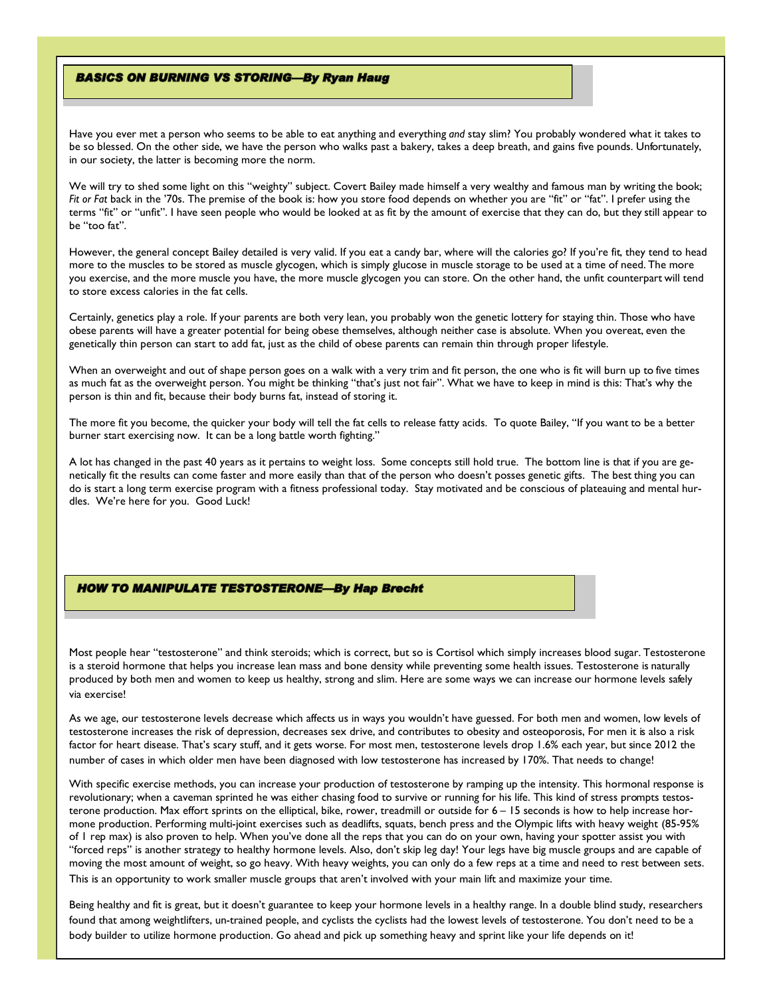### **BASICS ON BURNING VS STORING-By Ryan Haug**

Have you ever met a person who seems to be able to eat anything and everything *and* stay slim? You probably wondered what it takes to be so blessed. On the other side, we have the person who walks past a bakery, takes a deep breath, and gains five pounds. Unfortunately, in our society, the latter is becoming more the norm.

We will try to shed some light on this "weighty" subject. Covert Bailey made himself a very wealthy and famous man by writing the book; *Fit or Fat* back in the '70s. The premise of the book is: how you store food depends on whether you are "fit" or "fat". I prefer using the terms "fit" or "unfit". I have seen people who would be looked at as fit by the amount of exercise that they can do, but they still appear to be "too fat".

However, the general concept Bailey detailed is very valid. If you eat a candy bar, where will the calories go? If you're fit, they tend to head more to the muscles to be stored as muscle glycogen, which is simply glucose in muscle storage to be used at a time of need. The more you exercise, and the more muscle you have, the more muscle glycogen you can store. On the other hand, the unfit counterpart will tend to store excess calories in the fat cells.

Certainly, genetics play a role. If your parents are both very lean, you probably won the genetic lottery for staying thin. Those who have obese parents will have a greater potential for being obese themselves, although neither case is absolute. When you overeat, even the genetically thin person can start to add fat, just as the child of obese parents can remain thin through proper lifestyle.

When an overweight and out of shape person goes on a walk with a very trim and fit person, the one who is fit will burn up to five times as much fat as the overweight person. You might be thinking "that's just not fair". What we have to keep in mind is this: That's why the person is thin and fit, because their body burns fat, instead of storing it.

The more fit you become, the quicker your body will tell the fat cells to release fatty acids. To quote Bailey, "If you want to be a better burner start exercising now. It can be a long battle worth fighting."

A lot has changed in the past 40 years as it pertains to weight loss. Some concepts still hold true. The bottom line is that if you are genetically fit the results can come faster and more easily than that of the person who doesn't posses genetic gifts. The best thing you can do is start a long term exercise program with a fitness professional today. Stay motivated and be conscious of plateauing and mental hurdles. We're here for you. Good Luck!

## **HOW TO MANIPULATE TESTOSTERONE-By Hap Brecht**

Most people hear "testosterone" and think steroids; which is correct, but so is Cortisol which simply increases blood sugar. Testosterone is a steroid hormone that helps you increase lean mass and bone density while preventing some health issues. Testosterone is naturally produced by both men and women to keep us healthy, strong and slim. Here are some ways we can increase our hormone levels safely via exercise!

As we age, our testosterone levels decrease which affects us in ways you wouldn't have guessed. For both men and women, low levels of testosterone increases the risk of depression, decreases sex drive, and contributes to obesity and osteoporosis, For men it is also a risk factor for heart disease. That's scary stuff, and it gets worse. For most men, testosterone levels drop 1.6% each year, but since 2012 the number of cases in which older men have been diagnosed with low testosterone has increased by 170%. That needs to change!

With specific exercise methods, you can increase your production of testosterone by ramping up the intensity. This hormonal response is revolutionary; when a caveman sprinted he was either chasing food to survive or running for his life. This kind of stress prompts testosterone production. Max effort sprints on the elliptical, bike, rower, treadmill or outside for 6 - 15 seconds is how to help increase hormone production. Performing multi-joint exercises such as deadlifts, squats, bench press and the Olympic lifts with heavy weight (85-95% of 1 rep max) is also proven to help. When you've done all the reps that you can do on your own, having your spotter assist you with "forced reps" is another strategy to healthy hormone levels. Also, don't skip leg day! Your legs have big muscle groups and are capable of moving the most amount of weight, so go heavy. With heavy weights, you can only do a few reps at a time and need to rest between sets. This is an opportunity to work smaller muscle groups that aren't involved with your main lift and maximize your time.

Being healthy and fit is great, but it doesn't guarantee to keep your hormone levels in a healthy range. In a double blind study, researchers found that among weightlifters, un-trained people, and cyclists the cyclists had the lowest levels of testosterone. You don't need to be a body builder to utilize hormone production. Go ahead and pick up something heavy and sprint like your life depends on it!